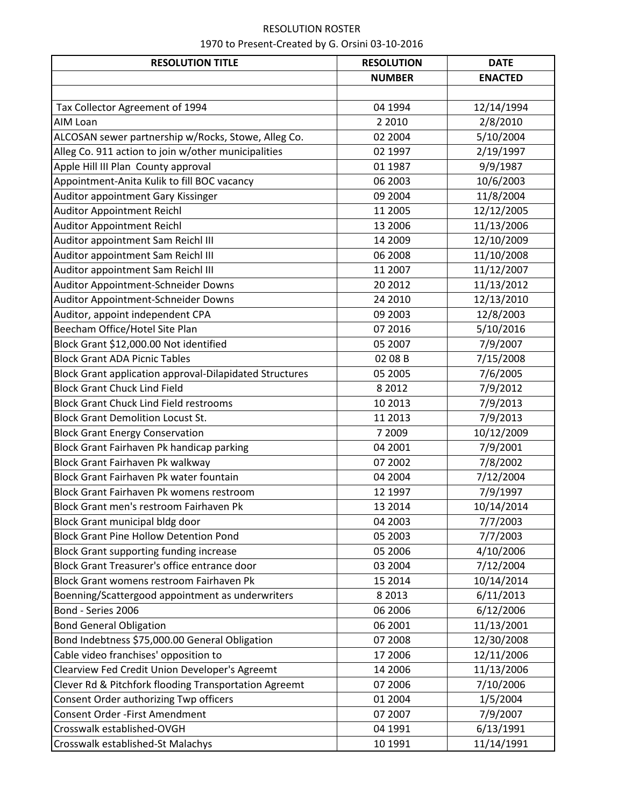| <b>RESOLUTION TITLE</b>                                        | <b>RESOLUTION</b> | <b>DATE</b>    |
|----------------------------------------------------------------|-------------------|----------------|
|                                                                | <b>NUMBER</b>     | <b>ENACTED</b> |
|                                                                |                   |                |
| Tax Collector Agreement of 1994                                | 04 1994           | 12/14/1994     |
| AIM Loan                                                       | 2 2 0 1 0         | 2/8/2010       |
| ALCOSAN sewer partnership w/Rocks, Stowe, Alleg Co.            | 02 2004           | 5/10/2004      |
| Alleg Co. 911 action to join w/other municipalities            | 02 1997           | 2/19/1997      |
| Apple Hill III Plan County approval                            | 01 1987           | 9/9/1987       |
| Appointment-Anita Kulik to fill BOC vacancy                    | 06 2003           | 10/6/2003      |
| Auditor appointment Gary Kissinger                             | 09 2004           | 11/8/2004      |
| <b>Auditor Appointment Reichl</b>                              | 11 2005           | 12/12/2005     |
| <b>Auditor Appointment Reichl</b>                              | 13 2006           | 11/13/2006     |
| Auditor appointment Sam Reichl III                             | 14 2009           | 12/10/2009     |
| Auditor appointment Sam Reichl III                             | 06 2008           | 11/10/2008     |
| Auditor appointment Sam Reichl III                             | 11 2007           | 11/12/2007     |
| Auditor Appointment-Schneider Downs                            | 20 20 12          | 11/13/2012     |
| Auditor Appointment-Schneider Downs                            | 24 2010           | 12/13/2010     |
| Auditor, appoint independent CPA                               | 09 2003           | 12/8/2003      |
| Beecham Office/Hotel Site Plan                                 | 07 2016           | 5/10/2016      |
| Block Grant \$12,000.00 Not identified                         | 05 2007           | 7/9/2007       |
| <b>Block Grant ADA Picnic Tables</b>                           | 02 08 B           | 7/15/2008      |
| <b>Block Grant application approval-Dilapidated Structures</b> | 05 2005           | 7/6/2005       |
| <b>Block Grant Chuck Lind Field</b>                            | 8 2 0 1 2         | 7/9/2012       |
| <b>Block Grant Chuck Lind Field restrooms</b>                  | 10 2013           | 7/9/2013       |
| <b>Block Grant Demolition Locust St.</b>                       | 11 2013           | 7/9/2013       |
| <b>Block Grant Energy Conservation</b>                         | 7 2009            | 10/12/2009     |
| Block Grant Fairhaven Pk handicap parking                      | 04 2001           | 7/9/2001       |
| Block Grant Fairhaven Pk walkway                               | 07 2002           | 7/8/2002       |
| Block Grant Fairhaven Pk water fountain                        | 04 2004           | 7/12/2004      |
| Block Grant Fairhaven Pk womens restroom                       | 12 1997           | 7/9/1997       |
| Block Grant men's restroom Fairhaven Pk                        | 13 2014           | 10/14/2014     |
| Block Grant municipal bldg door                                | 04 2003           | 7/7/2003       |
| <b>Block Grant Pine Hollow Detention Pond</b>                  | 05 2003           | 7/7/2003       |
| <b>Block Grant supporting funding increase</b>                 | 05 2006           | 4/10/2006      |
| Block Grant Treasurer's office entrance door                   | 03 2004           | 7/12/2004      |
| Block Grant womens restroom Fairhaven Pk                       | 15 2014           | 10/14/2014     |
| Boenning/Scattergood appointment as underwriters               | 8 2 0 1 3         | 6/11/2013      |
| Bond - Series 2006                                             | 06 2006           | 6/12/2006      |
| <b>Bond General Obligation</b>                                 | 06 2001           | 11/13/2001     |
| Bond Indebtness \$75,000.00 General Obligation                 | 07 2008           | 12/30/2008     |
| Cable video franchises' opposition to                          | 17 2006           | 12/11/2006     |
| Clearview Fed Credit Union Developer's Agreemt                 | 14 2006           | 11/13/2006     |
| Clever Rd & Pitchfork flooding Transportation Agreemt          | 07 2006           | 7/10/2006      |
| Consent Order authorizing Twp officers                         | 01 2004           | 1/5/2004       |
| Consent Order - First Amendment                                | 07 2007           | 7/9/2007       |
| Crosswalk established-OVGH                                     | 04 1991           | 6/13/1991      |
| Crosswalk established-St Malachys                              | 10 1991           | 11/14/1991     |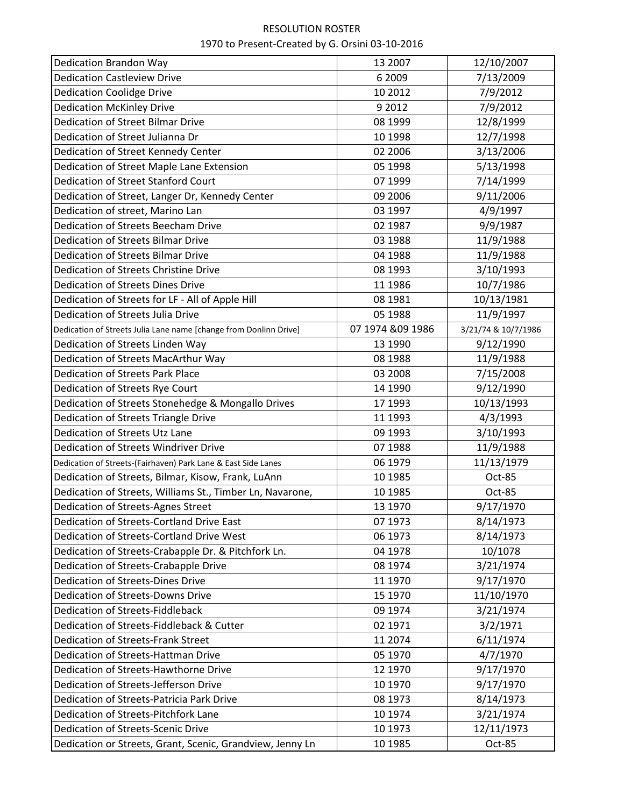| Dedication Brandon Way                                            | 13 2007           | 12/10/2007          |
|-------------------------------------------------------------------|-------------------|---------------------|
| <b>Dedication Castleview Drive</b>                                | 6 2009            | 7/13/2009           |
| <b>Dedication Coolidge Drive</b>                                  | 10 2012           | 7/9/2012            |
| <b>Dedication McKinley Drive</b>                                  | 9 2012            | 7/9/2012            |
| Dedication of Street Bilmar Drive                                 | 08 1999           | 12/8/1999           |
| Dedication of Street Julianna Dr                                  | 10 1998           | 12/7/1998           |
| Dedication of Street Kennedy Center                               | 02 2006           | 3/13/2006           |
| Dedication of Street Maple Lane Extension                         | 05 1998           | 5/13/1998           |
| Dedication of Street Stanford Court                               | 07 1999           | 7/14/1999           |
| Dedication of Street, Langer Dr, Kennedy Center                   | 09 2006           | 9/11/2006           |
| Dedication of street, Marino Lan                                  | 03 1997           | 4/9/1997            |
| Dedication of Streets Beecham Drive                               | 02 1987           | 9/9/1987            |
| Dedication of Streets Bilmar Drive                                | 03 1988           | 11/9/1988           |
| Dedication of Streets Bilmar Drive                                | 04 1988           | 11/9/1988           |
| Dedication of Streets Christine Drive                             | 08 1993           | 3/10/1993           |
| Dedication of Streets Dines Drive                                 | 11 1986           | 10/7/1986           |
| Dedication of Streets for LF - All of Apple Hill                  | 08 1981           | 10/13/1981          |
| Dedication of Streets Julia Drive                                 | 05 1988           | 11/9/1997           |
| Dedication of Streets Julia Lane name [change from Donlinn Drive] | 07 1974 & 09 1986 | 3/21/74 & 10/7/1986 |
| Dedication of Streets Linden Way                                  | 13 1990           | 9/12/1990           |
| Dedication of Streets MacArthur Way                               | 08 1988           | 11/9/1988           |
| Dedication of Streets Park Place                                  | 03 2008           | 7/15/2008           |
| Dedication of Streets Rye Court                                   | 14 1990           | 9/12/1990           |
| Dedication of Streets Stonehedge & Mongallo Drives                | 17 1993           | 10/13/1993          |
| Dedication of Streets Triangle Drive                              | 11 1993           | 4/3/1993            |
| Dedication of Streets Utz Lane                                    | 09 1993           | 3/10/1993           |
| Dedication of Streets Windriver Drive                             | 07 1988           | 11/9/1988           |
| Dedication of Streets-(Fairhaven) Park Lane & East Side Lanes     | 06 1979           | 11/13/1979          |
| Dedication of Streets, Bilmar, Kisow, Frank, LuAnn                | 10 1985           | Oct-85              |
| Dedication of Streets, Williams St., Timber Ln, Navarone,         | 10 1985           | Oct-85              |
| Dedication of Streets-Agnes Street                                | 13 1970           | 9/17/1970           |
| Dedication of Streets-Cortland Drive East                         | 07 1973           | 8/14/1973           |
| Dedication of Streets-Cortland Drive West                         | 06 1973           | 8/14/1973           |
| Dedication of Streets-Crabapple Dr. & Pitchfork Ln.               | 04 1978           | 10/1078             |
| Dedication of Streets-Crabapple Drive                             | 08 1974           | 3/21/1974           |
| Dedication of Streets-Dines Drive                                 | 11 1970           | 9/17/1970           |
| Dedication of Streets-Downs Drive                                 | 15 1970           | 11/10/1970          |
| Dedication of Streets-Fiddleback                                  | 09 1974           | 3/21/1974           |
| Dedication of Streets-Fiddleback & Cutter                         | 02 1971           | 3/2/1971            |
| Dedication of Streets-Frank Street                                | 11 2074           | 6/11/1974           |
| Dedication of Streets-Hattman Drive                               | 05 1970           | 4/7/1970            |
| Dedication of Streets-Hawthorne Drive                             | 12 1970           | 9/17/1970           |
| Dedication of Streets-Jefferson Drive                             | 10 1970           | 9/17/1970           |
| Dedication of Streets-Patricia Park Drive                         | 08 1973           | 8/14/1973           |
| Dedication of Streets-Pitchfork Lane                              | 10 1974           | 3/21/1974           |
| Dedication of Streets-Scenic Drive                                | 10 1973           | 12/11/1973          |
| Dedication or Streets, Grant, Scenic, Grandview, Jenny Ln         | 10 1985           | Oct-85              |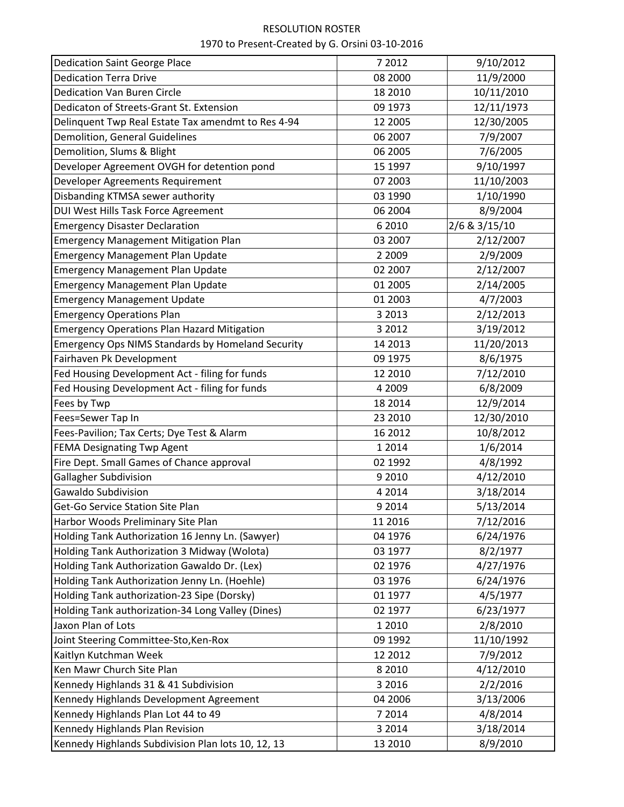| <b>Dedication Saint George Place</b>                     | 7 2012    | 9/10/2012     |
|----------------------------------------------------------|-----------|---------------|
| <b>Dedication Terra Drive</b>                            | 08 2000   | 11/9/2000     |
| <b>Dedication Van Buren Circle</b>                       | 18 2010   | 10/11/2010    |
| Dedicaton of Streets-Grant St. Extension                 | 09 1973   | 12/11/1973    |
| Delinquent Twp Real Estate Tax amendmt to Res 4-94       | 12 2005   | 12/30/2005    |
| Demolition, General Guidelines                           | 06 2007   | 7/9/2007      |
| Demolition, Slums & Blight                               | 06 2005   | 7/6/2005      |
| Developer Agreement OVGH for detention pond              | 15 1997   | 9/10/1997     |
| Developer Agreements Requirement                         | 07 2003   | 11/10/2003    |
| Disbanding KTMSA sewer authority                         | 03 1990   | 1/10/1990     |
| DUI West Hills Task Force Agreement                      | 06 2004   | 8/9/2004      |
| <b>Emergency Disaster Declaration</b>                    | 6 2010    | 2/6 & 3/15/10 |
| <b>Emergency Management Mitigation Plan</b>              | 03 2007   | 2/12/2007     |
| <b>Emergency Management Plan Update</b>                  | 2 2 0 0 9 | 2/9/2009      |
| <b>Emergency Management Plan Update</b>                  | 02 2007   | 2/12/2007     |
| <b>Emergency Management Plan Update</b>                  | 01 2005   | 2/14/2005     |
| <b>Emergency Management Update</b>                       | 01 2003   | 4/7/2003      |
| <b>Emergency Operations Plan</b>                         | 3 2013    | 2/12/2013     |
| <b>Emergency Operations Plan Hazard Mitigation</b>       | 3 2012    | 3/19/2012     |
| <b>Emergency Ops NIMS Standards by Homeland Security</b> | 14 2013   | 11/20/2013    |
| Fairhaven Pk Development                                 | 09 1975   | 8/6/1975      |
| Fed Housing Development Act - filing for funds           | 12 2010   | 7/12/2010     |
| Fed Housing Development Act - filing for funds           | 4 2009    | 6/8/2009      |
| Fees by Twp                                              | 18 2014   | 12/9/2014     |
| Fees=Sewer Tap In                                        | 23 2010   | 12/30/2010    |
| Fees-Pavilion; Tax Certs; Dye Test & Alarm               | 16 2012   | 10/8/2012     |
| <b>FEMA Designating Twp Agent</b>                        | 1 2014    | 1/6/2014      |
| Fire Dept. Small Games of Chance approval                | 02 1992   | 4/8/1992      |
| <b>Gallagher Subdivision</b>                             | 9 2010    | 4/12/2010     |
| Gawaldo Subdivision                                      | 4 2014    | 3/18/2014     |
| Get-Go Service Station Site Plan                         | 9 2014    | 5/13/2014     |
| Harbor Woods Preliminary Site Plan                       | 11 2016   | 7/12/2016     |
| Holding Tank Authorization 16 Jenny Ln. (Sawyer)         | 04 1976   | 6/24/1976     |
| Holding Tank Authorization 3 Midway (Wolota)             | 03 1977   | 8/2/1977      |
| Holding Tank Authorization Gawaldo Dr. (Lex)             | 02 1976   | 4/27/1976     |
| Holding Tank Authorization Jenny Ln. (Hoehle)            | 03 1976   | 6/24/1976     |
| Holding Tank authorization-23 Sipe (Dorsky)              | 01 1977   | 4/5/1977      |
| Holding Tank authorization-34 Long Valley (Dines)        | 02 1977   | 6/23/1977     |
| Jaxon Plan of Lots                                       | 1 2010    | 2/8/2010      |
| Joint Steering Committee-Sto, Ken-Rox                    | 09 1992   | 11/10/1992    |
| Kaitlyn Kutchman Week                                    | 12 2012   | 7/9/2012      |
| Ken Mawr Church Site Plan                                | 8 2 0 1 0 | 4/12/2010     |
| Kennedy Highlands 31 & 41 Subdivision                    | 3 2016    | 2/2/2016      |
| Kennedy Highlands Development Agreement                  | 04 2006   | 3/13/2006     |
| Kennedy Highlands Plan Lot 44 to 49                      | 7 2014    | 4/8/2014      |
| Kennedy Highlands Plan Revision                          | 3 2014    | 3/18/2014     |
| Kennedy Highlands Subdivision Plan lots 10, 12, 13       | 13 2010   | 8/9/2010      |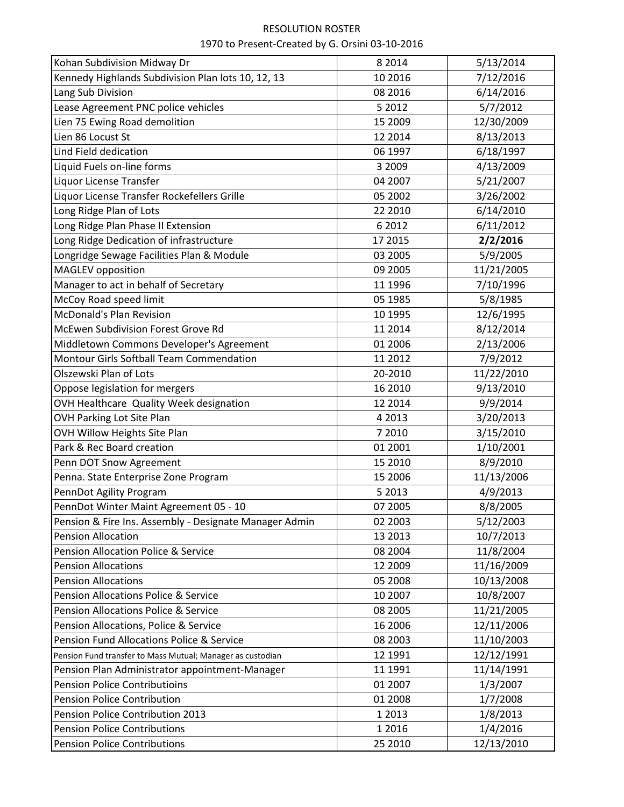| Kohan Subdivision Midway Dr                                | 8 2 0 1 4 | 5/13/2014  |
|------------------------------------------------------------|-----------|------------|
| Kennedy Highlands Subdivision Plan lots 10, 12, 13         | 10 2016   | 7/12/2016  |
| Lang Sub Division                                          | 08 2016   | 6/14/2016  |
| Lease Agreement PNC police vehicles                        | 5 2012    | 5/7/2012   |
| Lien 75 Ewing Road demolition                              | 15 2009   | 12/30/2009 |
| Lien 86 Locust St                                          | 12 2014   | 8/13/2013  |
| Lind Field dedication                                      | 06 1997   | 6/18/1997  |
| Liquid Fuels on-line forms                                 | 3 2009    | 4/13/2009  |
| Liquor License Transfer                                    | 04 2007   | 5/21/2007  |
| Liquor License Transfer Rockefellers Grille                | 05 2002   | 3/26/2002  |
| Long Ridge Plan of Lots                                    | 22 2010   | 6/14/2010  |
| Long Ridge Plan Phase II Extension                         | 6 2012    | 6/11/2012  |
| Long Ridge Dedication of infrastructure                    | 17 2015   | 2/2/2016   |
| Longridge Sewage Facilities Plan & Module                  | 03 2005   | 5/9/2005   |
| <b>MAGLEV</b> opposition                                   | 09 2005   | 11/21/2005 |
| Manager to act in behalf of Secretary                      | 11 1996   | 7/10/1996  |
| McCoy Road speed limit                                     | 05 1985   | 5/8/1985   |
| <b>McDonald's Plan Revision</b>                            | 10 1995   | 12/6/1995  |
| McEwen Subdivision Forest Grove Rd                         | 11 2014   | 8/12/2014  |
| Middletown Commons Developer's Agreement                   | 01 2006   | 2/13/2006  |
| Montour Girls Softball Team Commendation                   | 11 2012   | 7/9/2012   |
| Olszewski Plan of Lots                                     | 20-2010   | 11/22/2010 |
| Oppose legislation for mergers                             | 16 2010   | 9/13/2010  |
| OVH Healthcare Quality Week designation                    | 12 2014   | 9/9/2014   |
| OVH Parking Lot Site Plan                                  | 4 2013    | 3/20/2013  |
| OVH Willow Heights Site Plan                               | 7 2010    | 3/15/2010  |
| Park & Rec Board creation                                  | 01 2001   | 1/10/2001  |
| Penn DOT Snow Agreement                                    | 15 2010   | 8/9/2010   |
| Penna. State Enterprise Zone Program                       | 15 2006   | 11/13/2006 |
| PennDot Agility Program                                    | 5 2013    | 4/9/2013   |
| PennDot Winter Maint Agreement 05 - 10                     | 07 2005   | 8/8/2005   |
| Pension & Fire Ins. Assembly - Designate Manager Admin     | 02 2003   | 5/12/2003  |
| <b>Pension Allocation</b>                                  | 13 2013   | 10/7/2013  |
| <b>Pension Allocation Police &amp; Service</b>             | 08 2004   | 11/8/2004  |
| <b>Pension Allocations</b>                                 | 12 2009   | 11/16/2009 |
| <b>Pension Allocations</b>                                 | 05 2008   | 10/13/2008 |
| Pension Allocations Police & Service                       | 10 2007   | 10/8/2007  |
| <b>Pension Allocations Police &amp; Service</b>            | 08 2005   | 11/21/2005 |
| Pension Allocations, Police & Service                      | 16 2006   | 12/11/2006 |
| Pension Fund Allocations Police & Service                  | 08 2003   | 11/10/2003 |
| Pension Fund transfer to Mass Mutual; Manager as custodian | 12 1991   | 12/12/1991 |
| Pension Plan Administrator appointment-Manager             | 11 1991   | 11/14/1991 |
| <b>Pension Police Contributioins</b>                       | 01 2007   | 1/3/2007   |
| <b>Pension Police Contribution</b>                         | 01 2008   | 1/7/2008   |
| Pension Police Contribution 2013                           | 1 2013    | 1/8/2013   |
| <b>Pension Police Contributions</b>                        | 1 2016    | 1/4/2016   |
| <b>Pension Police Contributions</b>                        | 25 2010   | 12/13/2010 |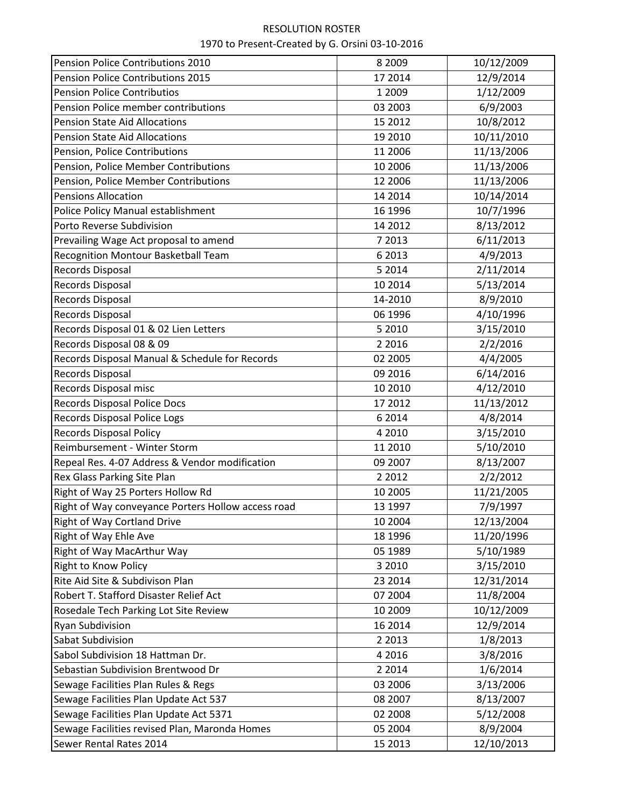| Pension Police Contributions 2010                  | 8 2 0 0 9 | 10/12/2009 |
|----------------------------------------------------|-----------|------------|
| Pension Police Contributions 2015                  | 17 2014   | 12/9/2014  |
| <b>Pension Police Contributios</b>                 | 1 2009    | 1/12/2009  |
| Pension Police member contributions                | 03 2003   | 6/9/2003   |
| <b>Pension State Aid Allocations</b>               | 15 2012   | 10/8/2012  |
| <b>Pension State Aid Allocations</b>               | 19 2010   | 10/11/2010 |
| Pension, Police Contributions                      | 11 2006   | 11/13/2006 |
| Pension, Police Member Contributions               | 10 2006   | 11/13/2006 |
| Pension, Police Member Contributions               | 12 2006   | 11/13/2006 |
| <b>Pensions Allocation</b>                         | 14 2014   | 10/14/2014 |
| Police Policy Manual establishment                 | 16 1996   | 10/7/1996  |
| Porto Reverse Subdivision                          | 14 2012   | 8/13/2012  |
| Prevailing Wage Act proposal to amend              | 7 2013    | 6/11/2013  |
| Recognition Montour Basketball Team                | 6 2013    | 4/9/2013   |
| <b>Records Disposal</b>                            | 5 2014    | 2/11/2014  |
| <b>Records Disposal</b>                            | 10 2014   | 5/13/2014  |
| <b>Records Disposal</b>                            | 14-2010   | 8/9/2010   |
| <b>Records Disposal</b>                            | 06 1996   | 4/10/1996  |
| Records Disposal 01 & 02 Lien Letters              | 5 2010    | 3/15/2010  |
| Records Disposal 08 & 09                           | 2 2 0 1 6 | 2/2/2016   |
| Records Disposal Manual & Schedule for Records     | 02 2005   | 4/4/2005   |
| <b>Records Disposal</b>                            | 09 2016   | 6/14/2016  |
| Records Disposal misc                              | 10 2010   | 4/12/2010  |
| Records Disposal Police Docs                       | 17 2012   | 11/13/2012 |
| Records Disposal Police Logs                       | 6 2014    | 4/8/2014   |
| <b>Records Disposal Policy</b>                     | 4 2010    | 3/15/2010  |
| Reimbursement - Winter Storm                       | 11 2010   | 5/10/2010  |
| Repeal Res. 4-07 Address & Vendor modification     | 09 2007   | 8/13/2007  |
| Rex Glass Parking Site Plan                        | 2 2 0 1 2 | 2/2/2012   |
| Right of Way 25 Porters Hollow Rd                  | 10 2005   | 11/21/2005 |
| Right of Way conveyance Porters Hollow access road | 13 1997   | 7/9/1997   |
| <b>Right of Way Cortland Drive</b>                 | 10 2004   | 12/13/2004 |
| Right of Way Ehle Ave                              | 18 1996   | 11/20/1996 |
| Right of Way MacArthur Way                         | 05 1989   | 5/10/1989  |
| <b>Right to Know Policy</b>                        | 3 2010    | 3/15/2010  |
| Rite Aid Site & Subdivison Plan                    | 23 2014   | 12/31/2014 |
| Robert T. Stafford Disaster Relief Act             | 07 2004   | 11/8/2004  |
| Rosedale Tech Parking Lot Site Review              | 10 2009   | 10/12/2009 |
| <b>Ryan Subdivision</b>                            | 16 2014   | 12/9/2014  |
| Sabat Subdivision                                  | 2 2 0 1 3 | 1/8/2013   |
| Sabol Subdivision 18 Hattman Dr.                   | 4 2016    | 3/8/2016   |
| Sebastian Subdivision Brentwood Dr                 | 2 2 0 1 4 | 1/6/2014   |
| Sewage Facilities Plan Rules & Regs                | 03 2006   | 3/13/2006  |
| Sewage Facilities Plan Update Act 537              | 08 2007   | 8/13/2007  |
| Sewage Facilities Plan Update Act 5371             | 02 2008   | 5/12/2008  |
| Sewage Facilities revised Plan, Maronda Homes      | 05 2004   | 8/9/2004   |
| Sewer Rental Rates 2014                            | 15 2013   | 12/10/2013 |